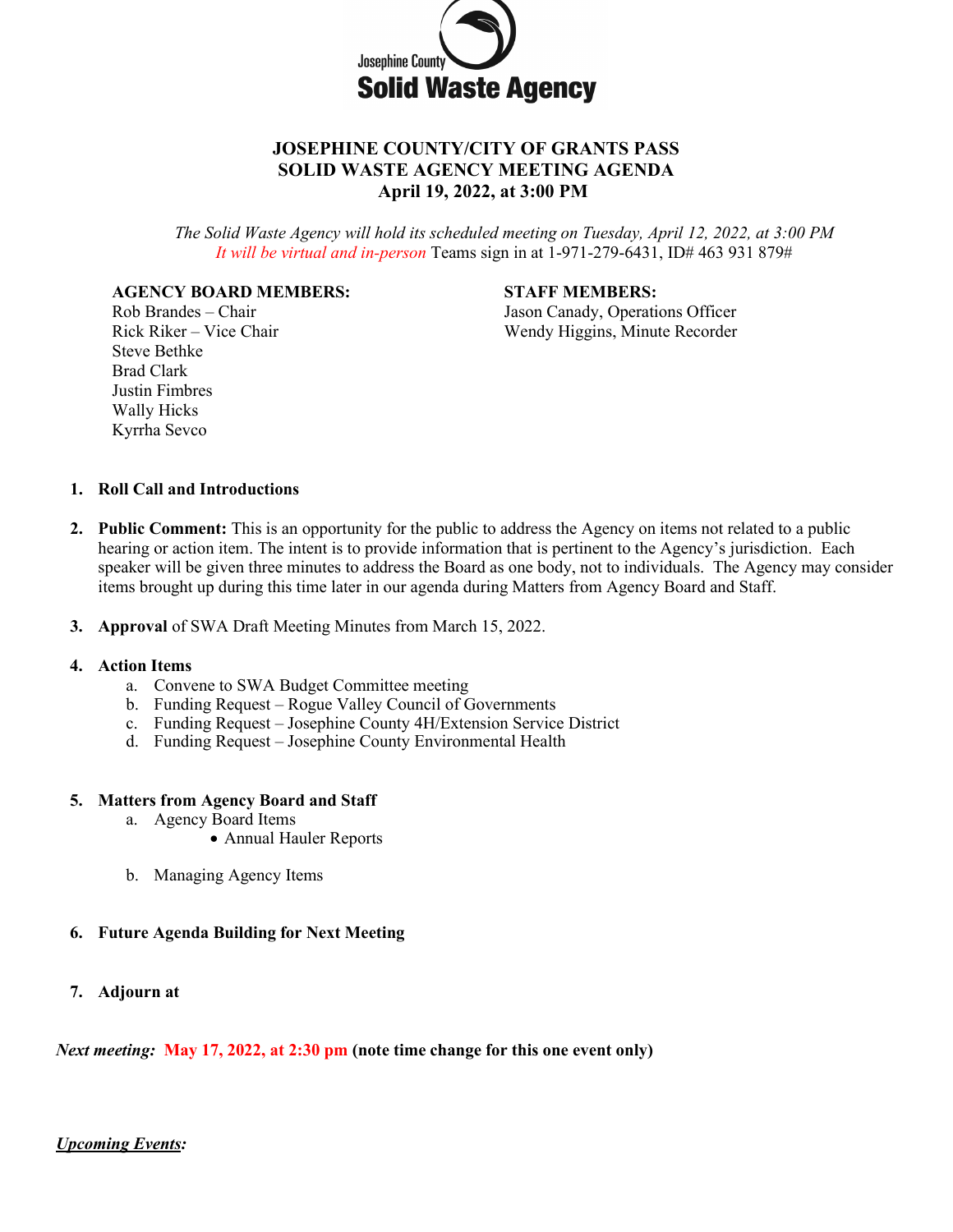

# **JOSEPHINE COUNTY/CITY OF GRANTS PASS SOLID WASTE AGENCY MEETING AGENDA April 19, 2022, at 3:00 PM**

*The Solid Waste Agency will hold its scheduled meeting on Tuesday, April 12, 2022, at 3:00 PM It will be virtual and in-person* Teams sign in at 1-971-279-6431, ID# 463 931 879#

## **AGENCY BOARD MEMBERS: STAFF MEMBERS:**

Steve Bethke Brad Clark Justin Fimbres Wally Hicks

Rob Brandes – Chair Jason Canady, Operations Officer Rick Riker – Vice Chair Wendy Higgins, Minute Recorder

### **1. Roll Call and Introductions**

Kyrrha Sevco

- **2. Public Comment:** This is an opportunity for the public to address the Agency on items not related to a public hearing or action item. The intent is to provide information that is pertinent to the Agency's jurisdiction. Each speaker will be given three minutes to address the Board as one body, not to individuals. The Agency may consider items brought up during this time later in our agenda during Matters from Agency Board and Staff.
- **3. Approval** of SWA Draft Meeting Minutes from March 15, 2022.

### **4. Action Items**

- a. Convene to SWA Budget Committee meeting
- b. Funding Request Rogue Valley Council of Governments
- c. Funding Request Josephine County 4H/Extension Service District
- d. Funding Request Josephine County Environmental Health

#### **5. Matters from Agency Board and Staff**

- a. Agency Board Items
	- Annual Hauler Reports
- b. Managing Agency Items

## **6. Future Agenda Building for Next Meeting**

**7. Adjourn at**

*Next meeting:* **May 17, 2022, at 2:30 pm (note time change for this one event only)**

## *Upcoming Events:*